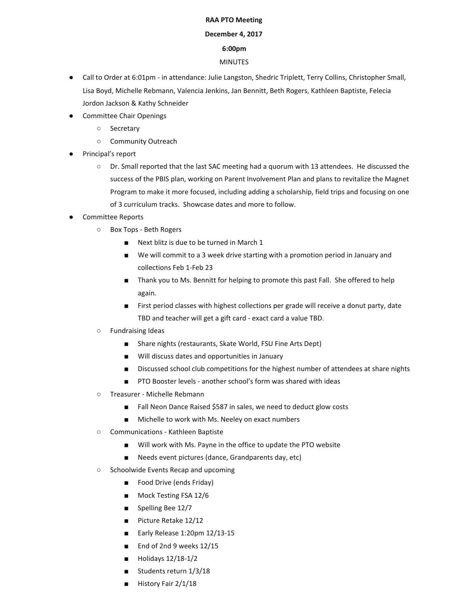## **RAA PTO Meeting**

## **December 4, 2017**

## **6:00pm**

## MINUTES

- Call to Order at 6:01pm in attendance: Julie Langston, Shedric Triplett, Terry Collins, Christopher Small, Lisa Boyd, Michelle Rebmann, Valencia Jenkins, Jan Bennitt, Beth Rogers, Kathleen Baptiste, Felecia Jordon Jackson & Kathy Schneider
- Committee Chair Openings
	- Secretary
	- Community Outreach
- Principal's report
	- Dr. Small reported that the last SAC meeting had a quorum with 13 attendees. He discussed the success of the PBIS plan, working on Parent Involvement Plan and plans to revitalize the Magnet Program to make it more focused, including adding a scholarship, field trips and focusing on one of 3 curriculum tracks. Showcase dates and more to follow.
- Committee Reports
	- Box Tops Beth Rogers
		- Next blitz is due to be turned in March 1
		- We will commit to a 3 week drive starting with a promotion period in January and collections Feb 1-Feb 23
		- Thank you to Ms. Bennitt for helping to promote this past Fall. She offered to help again.
		- First period classes with highest collections per grade will receive a donut party, date TBD and teacher will get a gift card - exact card a value TBD.
	- Fundraising Ideas
		- Share nights (restaurants, Skate World, FSU Fine Arts Dept)
		- Will discuss dates and opportunities in January
		- Discussed school club competitions for the highest number of attendees at share nights
		- PTO Booster levels another school's form was shared with ideas
	- Treasurer Michelle Rebmann
		- Fall Neon Dance Raised \$587 in sales, we need to deduct glow costs
		- Michelle to work with Ms. Neeley on exact numbers
	- Communications Kathleen Baptiste
		- Will work with Ms. Payne in the office to update the PTO website
		- Needs event pictures (dance, Grandparents day, etc)
	- Schoolwide Events Recap and upcoming
		- Food Drive (ends Friday)
		- Mock Testing FSA 12/6
		- Spelling Bee 12/7
		- Picture Retake 12/12
		- Early Release 1:20pm 12/13-15
		- End of 2nd 9 weeks 12/15
		- Holidays 12/18-1/2
		- Students return 1/3/18
		- History Fair 2/1/18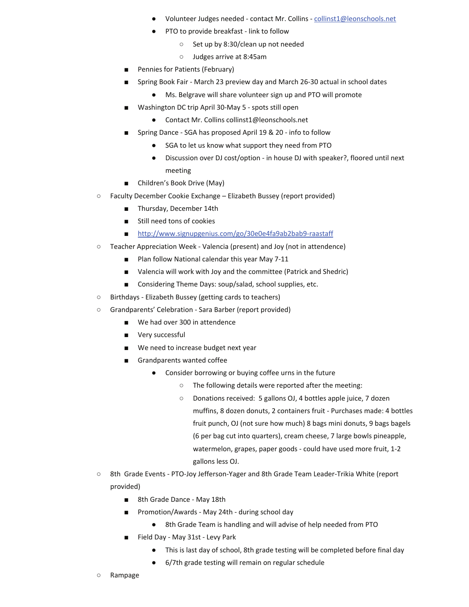- Volunteer Judges needed contact Mr. Collins collinst1@leonschools.net
- PTO to provide breakfast link to follow
	- Set up by 8:30/clean up not needed
	- Judges arrive at 8:45am
- Pennies for Patients (February)
- Spring Book Fair March 23 preview day and March 26-30 actual in school dates
	- Ms. Belgrave will share volunteer sign up and PTO will promote
- Washington DC trip April 30-May 5 spots still open
	- Contact Mr. Collins collinst1@leonschools.net
- Spring Dance SGA has proposed April 19 & 20 info to follow
	- SGA to let us know what support they need from PTO
	- Discussion over DJ cost/option in house DJ with speaker?, floored until next meeting
- Children's Book Drive (May)
- Faculty December Cookie Exchange Elizabeth Bussey (report provided)
	- Thursday, December 14th
	- Still need tons of cookies
	- http://www.signupgenius.com/go/30e0e4fa9ab2bab9-raastaff
- Teacher Appreciation Week Valencia (present) and Joy (not in attendence)
	- Plan follow National calendar this year May 7-11
	- Valencia will work with Joy and the committee (Patrick and Shedric)
	- Considering Theme Days: soup/salad, school supplies, etc.
- Birthdays Elizabeth Bussey (getting cards to teachers)
- Grandparents' Celebration Sara Barber (report provided)
	- We had over 300 in attendence
	- Very successful
	- We need to increase budget next year
	- Grandparents wanted coffee
		- Consider borrowing or buying coffee urns in the future
			- The following details were reported after the meeting:
			- Donations received: 5 gallons OJ, 4 bottles apple juice, 7 dozen muffins, 8 dozen donuts, 2 containers fruit - Purchases made: 4 bottles fruit punch, OJ (not sure how much) 8 bags mini donuts, 9 bags bagels (6 per bag cut into quarters), cream cheese, 7 large bowls pineapple, watermelon, grapes, paper goods - could have used more fruit, 1-2 gallons less OJ.
- 8th Grade Events PTO-Joy Jefferson-Yager and 8th Grade Team Leader-Trikia White (report provided)
	- 8th Grade Dance May 18th
	- Promotion/Awards May 24th during school day
		- 8th Grade Team is handling and will advise of help needed from PTO
	- Field Day May 31st Levy Park
		- This is last day of school, 8th grade testing will be completed before final day
		- 6/7th grade testing will remain on regular schedule
- Rampage